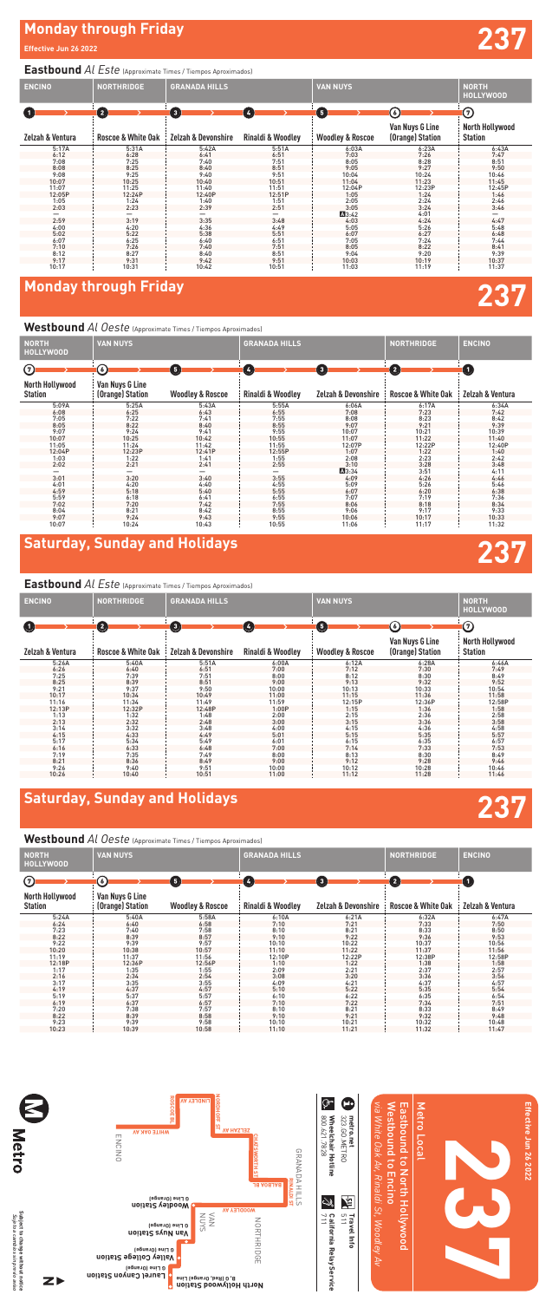#### **Monday through Friday**

**Effective Jun 26 2022**

# **237**



### **Saturday, Sunday and Holidays**

### **Saturday, Sunday and Holidays**

#### **Eastbound** *Al Este* (Approximate Times / Tiempos Aproximados)

#### **Westbound** *Al Oeste* (Approximate Times / Tiempos Aproximados)

Subject to change without notice<br>Sujeto a cambios sin previo aviso **Subject to change without notice** *Sujeto a cambios sin previo aviso*

**W**<br>Metro

| <b>ENCINO</b>    | <b>NORTHRIDGE</b>             | <b>GRANADA HILLS</b>           |                              | <b>VAN NUYS</b>             |                                     | <b>NORTH</b><br><b>HOLLYWOOD</b>         |
|------------------|-------------------------------|--------------------------------|------------------------------|-----------------------------|-------------------------------------|------------------------------------------|
| O                | $\left( 2\right)$             | $\bullet$                      | $\left( 4\right)$            | $\mathbf{5}$                | (6)                                 | $\odot$                                  |
| Zelzah & Ventura | <b>Roscoe &amp; White Oak</b> | <b>Zelzah &amp; Devonshire</b> | <b>Rinaldi &amp; Woodlev</b> | <b>Woodley &amp; Roscoe</b> | Van Nuys G Line<br>(Orange) Station | <b>North Hollywood</b><br><b>Station</b> |
| 5:17A            | 5:31A                         | 5:42A                          | 5:51A                        | 6:03A                       | 6:23A                               | 6:43A                                    |
| 6:12             | 6:28                          | 6:41                           | 6:51                         | 7:03                        | 7:26                                | 7:47                                     |
| 7:08             | 7:25                          | 7:40                           | 7:51                         | 8:05                        | 8:28                                | 8:51                                     |
| 8:08             | 8:25                          | 8:40                           | 8:51                         | 9:05                        | 9:27                                | 9:50                                     |
| 9:08             | 9:25                          | 9:40                           | 9:51                         | 10:04                       | 10:24                               | 10:46                                    |
| 10:07            | 10:25                         | 10:40                          | 10:51                        | 11:04                       | 11:23                               | 11:45                                    |
| 11:07            | 11:25                         | 11:40                          | 11:51                        | 12:04P                      | 12:23P                              | 12:45P                                   |
| 12:05P           | 12:24P                        | 12:40P                         | 12:51P                       | 1:05                        | 1:24                                | 1:46                                     |
| 1:05             | 1:24                          | 1:40                           | 1:51                         | 2:05                        | 2:24                                | 2:46                                     |
| 2:03             | 2:23                          | 2:39                           | 2:51                         | 3:05                        | 3:24                                | 3:46                                     |
|                  |                               |                                |                              | A3:42                       | 4:01                                |                                          |
| 2:59             | 3:19                          | 3:35                           | 3:48                         | 4:03                        | 4:24                                | 4:47                                     |
| 4:00             | 4:20                          | 4:36                           | 4:49                         | 5:05                        | 5:26                                | 5:48                                     |
| 5:02             | 5:22                          | 5:38                           | 5:51                         | 6:07                        | 6:27                                | 6:48                                     |
| 6:07             | 6:25                          | 6:40                           | 6:51                         | 7:05                        | 7:24                                | 7:44                                     |
| 7:10             | 7:26                          | 7:40                           | 7:51                         | 8:05                        | 8:22                                | 8:41                                     |
| 8:12             | 8:27                          | 8:40                           | 8:51                         | 9:04                        | 9:20                                | 9:39                                     |
| 9:17             | 9:31                          | 9:42                           | 9:51                         | 10:03                       | 10:19                               | 10:37                                    |
| 10:17            | 10:31                         | 10:42                          | 10:51                        | 11:03                       | 11:19                               | 11:37                                    |

## **Monday through Friday <b>237**

#### **Eastbound** *Al Este* (Approximate Times / Tiempos Aproximados)

| <b>NORTH</b><br><b>HOLLYWOOD</b>         | <b>VAN NUYS</b>                     |                             | <b>GRANADA HILLS</b>         |                                | NORTHRIDGE                    | <b>ENCINO</b>    |
|------------------------------------------|-------------------------------------|-----------------------------|------------------------------|--------------------------------|-------------------------------|------------------|
| ⊙                                        | ⊙                                   | G                           | Ø                            | 0                              | $\left( 2\right)$             | $\bf \bm \Theta$ |
| <b>North Hollywood</b><br><b>Station</b> | Van Nuys G Line<br>(Orange) Station | <b>Woodley &amp; Roscoe</b> | <b>Rinaldi &amp; Woodley</b> | <b>Zelzah &amp; Devonshire</b> | <b>Roscoe &amp; White Oak</b> | Zelzah & Ventura |
| 5:09A                                    | 5:25A                               | 5:43A                       | 5:55A                        | 6:06A                          | 6:17A                         | 6:34A            |
| 6:08                                     | 6:25                                | 6:43                        | 6:55                         | 7:08                           | 7:23                          | 7:42             |
| 7:05                                     | 7:22                                | 7:41                        | 7:55                         | 8:08                           | 8:23                          | 8:42             |
| 8:05                                     | 8:22                                | 8:40                        | 8:55                         | 9:07                           | 9:21                          | 9:39             |
| 9:07                                     | 9:24                                | 9:41                        | 9:55                         | 10:07                          | 10:21                         | 10:39            |
| 10:07                                    | 10:25                               | 10:42                       | 10:55                        | 11:07                          | 11:22                         | 11:40            |
| 11:05                                    | 11:24                               | 11:42                       | 11:55                        | 12:07P                         | 12:22P                        | 12:40P           |
| 12:04P                                   | 12:23P                              | 12:41P                      | 12:55P                       | 1:07                           | 1:22                          | 1:40             |
| 1:03                                     | 1:22                                | 1:41                        | 1:55                         | 2:08                           | 2:23                          | 2:42             |
| 2:02                                     | 2:21                                | 2:41                        | 2:55                         | 3:10                           | 3:28                          | 3:48             |
|                                          |                                     |                             |                              | A 3:34                         | 3:51                          | 4:11             |
| 3:01                                     | 3:20                                | 3:40                        | 3:55                         | 4:09                           | 4:26                          | 4:46             |
| 4:01                                     | 4:20                                | 4:40                        | 4:55                         | 5:09                           | 5:26                          | 5:46             |
| 4:59                                     | 5:18                                | 5:40                        | 5:55                         | 6:07                           | 6:20                          | 6:38             |
| 5:59                                     | 6:18                                | 6:41                        | 6:55                         | 7:07                           | 7:19                          | 7:36             |
| 7:02                                     | 7:20                                | 7:42                        | 7:55                         | 8:06                           | 8:18                          | 8:34             |
| 8:04                                     | 8:21                                | 8:42                        | 8:55                         | 9:06                           | 9:17                          | 9:33             |
| 9:07                                     | 9:24                                | 9:43                        | 9:55                         | 10:06                          | 10:17                         | 10:33            |
| 10:07                                    | 10:24                               | 10:43                       | 10:55                        | 11:06                          | 11:17                         | 11:32            |

#### **Westbound** *Al Oeste* (Approximate Times / Tiempos Aproximados)

| <b>ENCINO</b>    | NORTHRIDGE                    | <b>GRANADA HILLS</b>           |                              | <b>VAN NUYS</b>             |                                     | <b>NORTH</b><br>HOLLYWOOD         |
|------------------|-------------------------------|--------------------------------|------------------------------|-----------------------------|-------------------------------------|-----------------------------------|
| O                | 0                             | $\bullet$                      | $\left( 4\right)$            | G                           | (6)                                 | ℗                                 |
| Zelzah & Ventura | <b>Roscoe &amp; White Oak</b> | <b>Zelzah &amp; Devonshire</b> | <b>Rinaldi &amp; Woodley</b> | <b>Woodley &amp; Roscoe</b> | Van Nuys G Line<br>(Orange) Station | North Hollywood<br><b>Station</b> |
| 5:26A            | 5:40A                         | 5:51A                          | 6:00A                        | 6:12A                       | 6:28A                               | 6:46A                             |
| 6:26             | 6:40                          | 6:51                           | 7:00                         | 7:12                        | 7:30                                | 7:49                              |
| 7:25             | 7:39                          | 7:51                           | 8:00                         | 8:12                        | 8:30                                | 8:49                              |
| 8:25             | 8:39                          | 8:51                           | 9:00                         | 9:13                        | 9:32                                | 9:52                              |
| 9:21             | 9:37                          | 9:50                           | 10:00                        | 10:13                       | 10:33                               | 10:54                             |
| 10:17            | 10:34                         | 10:49                          | 11:00                        | 11:15                       | 11:36                               | 11:58                             |
| 11:16            | 11:34                         | 11:49                          | 11:59                        | 12:15P                      | 12:36P                              | 12:58P                            |
| 12:13P           | 12:32P                        | 12:48P                         | 1:00P                        | 1:15                        | 1:36                                | 1:58                              |
| 1:13             | 1:32                          | 1:48                           | 2:00                         | 2:15                        | 2:36                                | 2:58                              |
| 2:13             | 2:32                          | 2:48                           | 3:00                         | 3:15                        | 3:36                                | 3:58                              |
| 3:14             | 3:32                          | 3:48                           | 4:00                         | 4:15                        | 4:36                                | 4:58                              |
| 4:15             | 4:33                          | 4:49                           | 5:01                         | 5:15                        | 5:35                                | 5:57                              |
| 5:17             | 5:34                          | 5:49                           | 6:01                         | 6:15                        | 6:35                                | 6:57                              |
| 6:16             | 6:33                          | 6:48                           | 7:00                         | 7:14                        | 7:33                                | 7:53                              |
| 7:19             | 7:35                          | 7:49                           | 8:00                         | 8:13                        | 8:30                                | 8:49                              |
| 8:21             | 8:36                          | 8:49                           | 9:00                         | 9:12                        | 9:28                                | 9:46                              |
| 9:26             | 9:40                          | 9:51                           | 10:00                        | 10:12                       | 10:28                               | 10:46                             |
| 10:26            | 10:40                         | 10:51                          | 11:00                        | 11:12                       | 11:28                               | 11:46                             |

| <b>NORTH</b><br><b>HOLLYWOOD</b>         | <b>VAN NUYS</b>                     |                             | <b>GRANADA HILLS</b>         |                                | <b>NORTHRIDGE</b>             | <b>ENCINO</b>     |
|------------------------------------------|-------------------------------------|-----------------------------|------------------------------|--------------------------------|-------------------------------|-------------------|
|                                          |                                     |                             |                              |                                |                               |                   |
| $\odot$                                  | у                                   | Θ                           | $\frac{1}{2}$                | $\left( \, \bullet \right)$    | $\left( 2\right)$             | $\left( 1\right)$ |
| <b>North Hollywood</b><br><b>Station</b> | Van Nuys G Line<br>(Orange) Station | <b>Woodley &amp; Roscoe</b> | <b>Rinaldi &amp; Woodley</b> | <b>Zelzah &amp; Devonshire</b> | <b>Roscoe &amp; White Oak</b> | Zelzah & Ventura  |
| 5:24A                                    | 5:40A                               | 5:58A                       | 6:10A                        | 6:21A                          | 6:32A                         | 6:47A             |
| 6:24                                     | 6:40                                | 6:58                        | 7:10                         | 7:21                           | 7:33                          | 7:50              |
| 7:23                                     | 7:40                                | 7:58                        | 8:10                         | 8:21                           | 8:33                          | 8:50              |
| 8:22                                     | 8:39                                | 8:57                        | 9:10                         | 9:22                           | 9:36                          | 9:53              |
| 9:22                                     | 9:39                                | 9:57                        | 10:10                        | 10:22                          | 10:37                         | 10:56             |
| 10:20                                    | 10:38                               | 10:57                       | 11:10                        | 11:22                          | 11:37                         | 11:56             |
| 11:19                                    | 11:37                               | 11:56                       | 12:10P                       | 12:22P                         | 12:38P                        | 12:58P            |
| 12:18P                                   | 12:36P                              | 12:56P                      | 1:10                         | 1:22                           | 1:38                          | 1:58              |
| 1:17                                     | 1:35                                | 1:55                        | 2:09                         | 2:21                           | 2:37                          | 2:57              |
| 2:16                                     | 2:34                                | 2:54                        | 3:08                         | 3:20                           | 3:36                          | 3:56              |
| 3:17                                     | 3:35                                | 3:55                        | 4:09                         | 4:21                           | 4:37                          | 4:57              |

| ------ | ----- | ----- | .     | .     | .     | .     |
|--------|-------|-------|-------|-------|-------|-------|
| 4:19   | 4:37  | 4:57  | 5:10  | 5:22  | 5:35  | 5:54  |
| 5:19   | 5:37  | 5:57  | 6:10  | 6:22  | 6:35  | 6:54  |
| 6:19   | 6:37  | 6:57  | 7:10  | 7:22  | 7:34  | 7:51  |
| 7:20   | 7:38  | 7:57  | 8:10  | 8:21  | 8:33  | 8:49  |
| 8:22   | 8:39  | 8:58  | 9:10  | 9:21  | 9:32  | 9:48  |
| 9:23   | 9:39  | 9:58  | 10:10 | 10:21 | 10:32 | 10:48 |
| 10:23  | 10:39 | 10:58 | 11:10 | 11:21 | 11:32 | 11:47 |
|        |       |       |       |       |       |       |